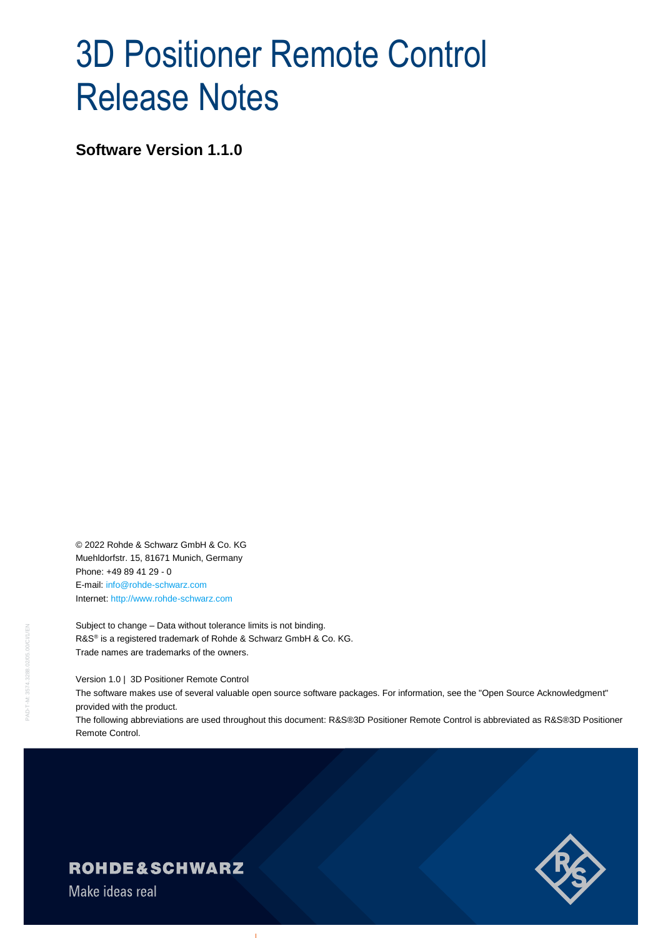# 3D Positioner Remote Control Release Notes

**Software Version 1.1.0**

© 2022 Rohde & Schwarz GmbH & Co. KG Muehldorfstr. 15, 81671 Munich, Germany Phone: +49 89 41 29 - 0 E-mail: [info@rohde-schwarz.com](mailto:info@rohde-schwarz.com) Internet[: http://www.rohde-schwarz.com](http://www.rohde-schwarz.com/)

Subject to change – Data without tolerance limits is not binding. R&S<sup>®</sup> is a registered trademark of Rohde & Schwarz GmbH & Co. KG. Trade names are trademarks of the owners.

Version 1.0 | 3D Positioner Remote Control

The software makes use of several valuable open source software packages. For information, see the "Open Source Acknowledgment" provided with the product.

The following abbreviations are used throughout this document: R&S®3D Positioner Remote Control is abbreviated as R&S®3D Positioner Remote Control.



### **ROHDE&SCHWARZ**

Make ideas real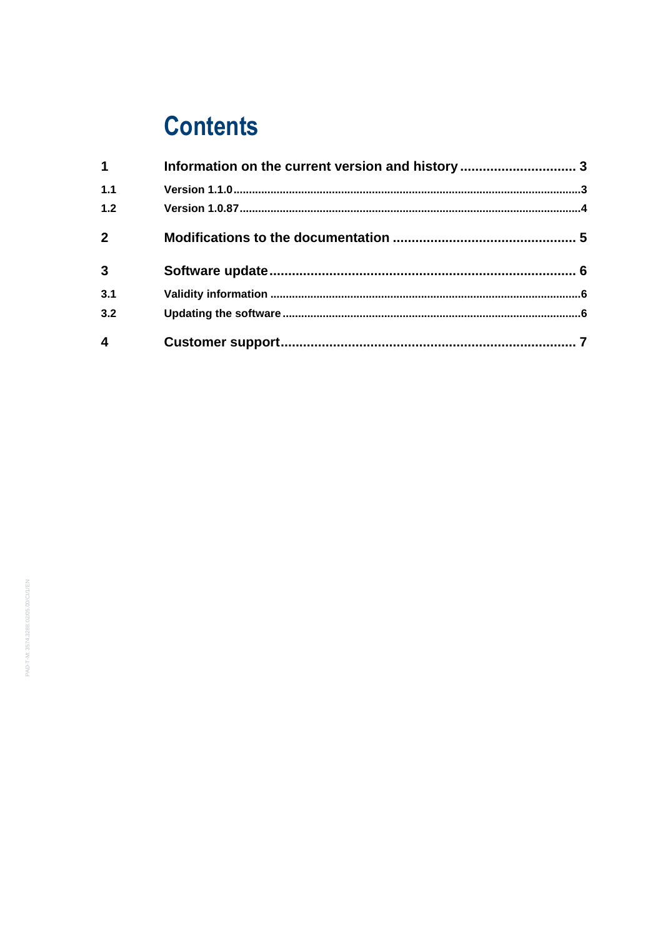## **Contents**

| $\mathbf 1$             |  |
|-------------------------|--|
| 1.1                     |  |
| 1.2                     |  |
| $\overline{2}$          |  |
| $\overline{\mathbf{3}}$ |  |
| 3.1                     |  |
| 3.2                     |  |
|                         |  |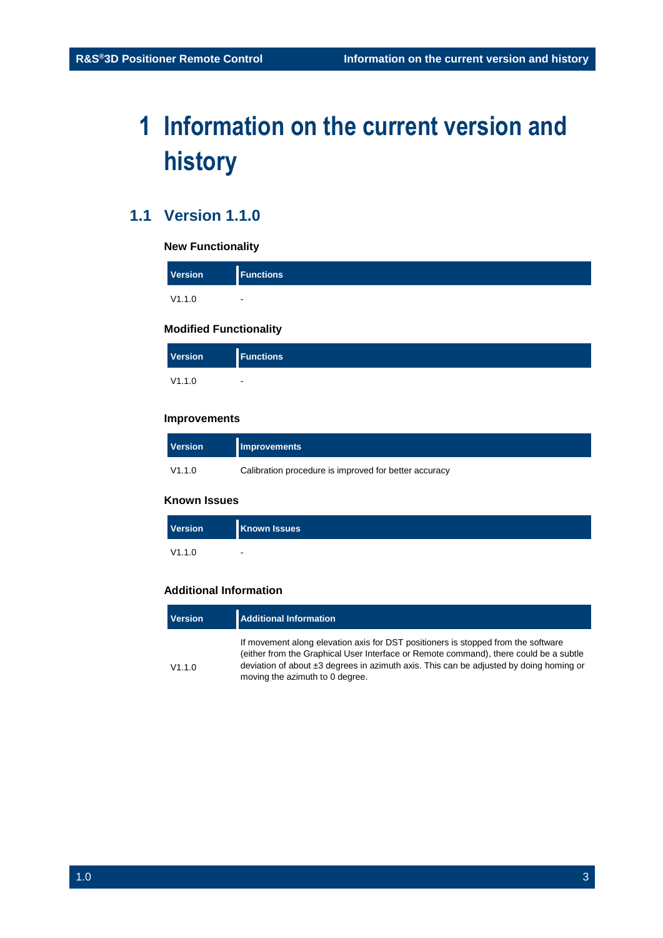## <span id="page-2-0"></span>**1 Information on the current version and history**

### <span id="page-2-1"></span>**1.1 Version 1.1.0**

#### **New Functionality**

| Version | <b>Functions</b> |
|---------|------------------|
| V1.1.0  | $\blacksquare$   |

#### **Modified Functionality**

| <b>Version</b> | <b>Functions</b>         |  |
|----------------|--------------------------|--|
| V1.1.0         | $\overline{\phantom{0}}$ |  |

#### **Improvements**

| <b>Version</b> | <b>Improvements</b>                                   |
|----------------|-------------------------------------------------------|
| V1.1.0         | Calibration procedure is improved for better accuracy |

#### **Known Issues**

| Version | <b>Known Issues</b> |
|---------|---------------------|
| V1.1.0  | $\blacksquare$      |

#### **Additional Information**

| Version | <b>Additional Information</b>                                                                                                                                                   |  |
|---------|---------------------------------------------------------------------------------------------------------------------------------------------------------------------------------|--|
|         | If movement along elevation axis for DST positioners is stopped from the software                                                                                               |  |
| V1.1.0  | (either from the Graphical User Interface or Remote command), there could be a subtle<br>deviation of about ±3 degrees in azimuth axis. This can be adjusted by doing homing or |  |
|         | moving the azimuth to 0 degree.                                                                                                                                                 |  |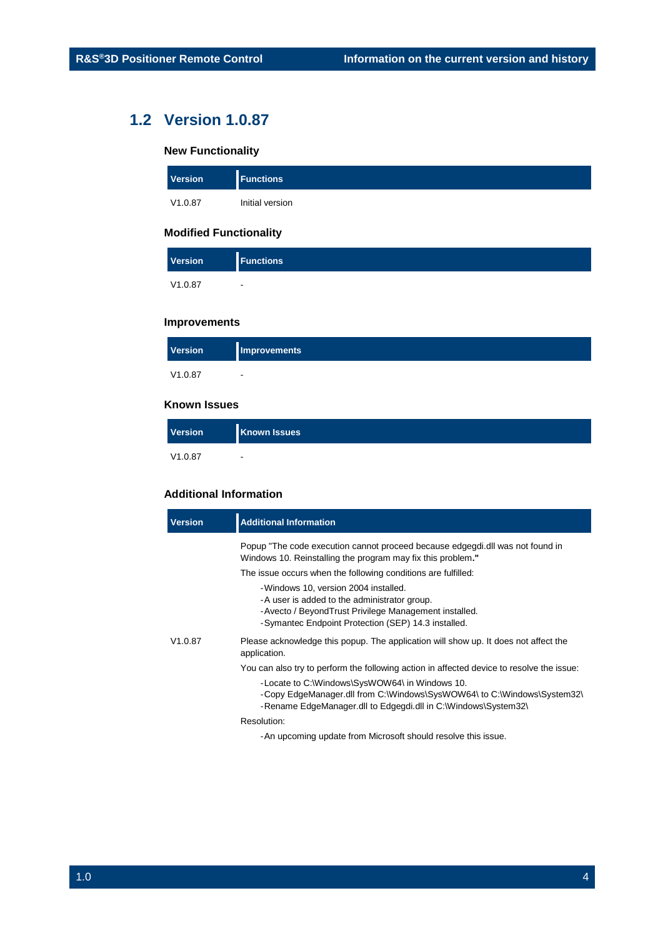### **1.2 Version 1.0.87**

#### <span id="page-3-0"></span>**New Functionality**

| <b>Version</b> | <b>Functions</b> |
|----------------|------------------|
| V1.0.87        | Initial version  |

#### **Modified Functionality**

| <b>Version</b> | <b>Functions</b>         |
|----------------|--------------------------|
| V1.0.87        | $\overline{\phantom{a}}$ |

#### **Improvements**

| <b>Version</b> | Improvements |
|----------------|--------------|
| V1.0.87        |              |

#### **Known Issues**

| <b>Version</b> | <b>Known Issues</b> |
|----------------|---------------------|
| V1.0.87        |                     |

#### **Additional Information**

| <b>Version</b> | <b>Additional Information</b>                                                                                                                                                                        |
|----------------|------------------------------------------------------------------------------------------------------------------------------------------------------------------------------------------------------|
|                | Popup "The code execution cannot proceed because edgegdi.dll was not found in<br>Windows 10. Reinstalling the program may fix this problem."                                                         |
|                | The issue occurs when the following conditions are fulfilled:                                                                                                                                        |
|                | -Windows 10, version 2004 installed.<br>-A user is added to the administrator group.<br>-Avecto / BeyondTrust Privilege Management installed.<br>-Symantec Endpoint Protection (SEP) 14.3 installed. |
| V1.0.87        | Please acknowledge this popup. The application will show up. It does not affect the<br>application.                                                                                                  |
|                | You can also try to perform the following action in affected device to resolve the issue:                                                                                                            |
|                | -Locate to C:\Windows\SysWOW64\ in Windows 10.<br>-Copy EdgeManager.dll from C:\Windows\SysWOW64\ to C:\Windows\System32\<br>-Rename EdgeManager.dll to Edgegdi.dll in C:\Windows\System32\          |
|                | Resolution:                                                                                                                                                                                          |
|                | - An upcoming update from Microsoft should resolve this issue.                                                                                                                                       |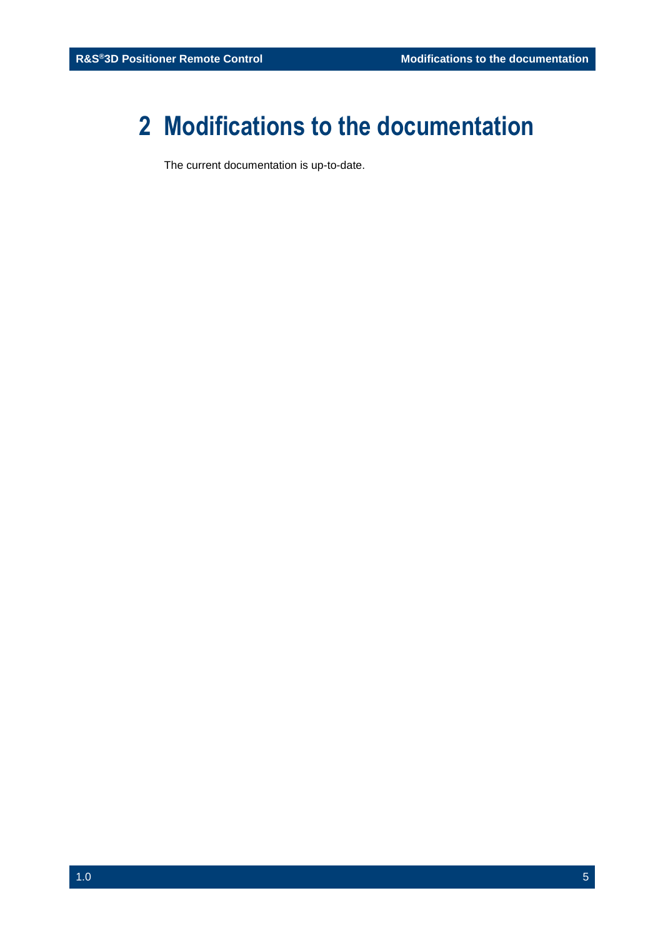## <span id="page-4-0"></span>**2 Modifications to the documentation**

The current documentation is up-to-date.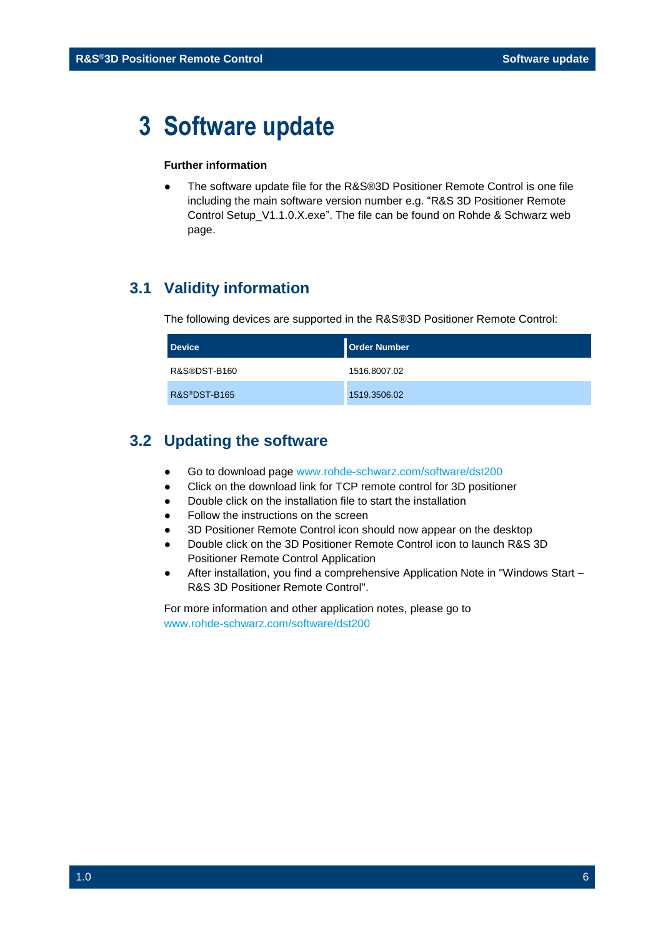## <span id="page-5-0"></span>**3 Software update**

#### **Further information**

The software update file for the R&S®3D Positioner Remote Control is one file including the main software version number e.g. "R&S 3D Positioner Remote Control Setup\_V1.1.0.X.exe". The file can be found on Rohde & Schwarz web page.

### <span id="page-5-1"></span>**3.1 Validity information**

The following devices are supported in the R&S®3D Positioner Remote Control:

| <b>Device</b> | <b>Order Number</b> |
|---------------|---------------------|
| R&S®DST-B160  | 1516.8007.02        |
| R&S®DST-B165  | 1519.3506.02        |

### <span id="page-5-2"></span>**3.2 Updating the software**

- Go to download page [www.rohde-schwarz.com/software/dst200](http://www.rohde-schwarz.com/software/dst200/)
- Click on the download link for TCP remote control for 3D positioner
- Double click on the installation file to start the installation
- Follow the instructions on the screen
- 3D Positioner Remote Control icon should now appear on the desktop
- Double click on the 3D Positioner Remote Control icon to launch R&S 3D Positioner Remote Control Application
- After installation, you find a comprehensive Application Note in "Windows Start R&S 3D Positioner Remote Control".

For more information and other application notes, please go to [www.rohde-schwarz.com/software/dst200](http://www.rohde-schwarz.com/software/dst200/)